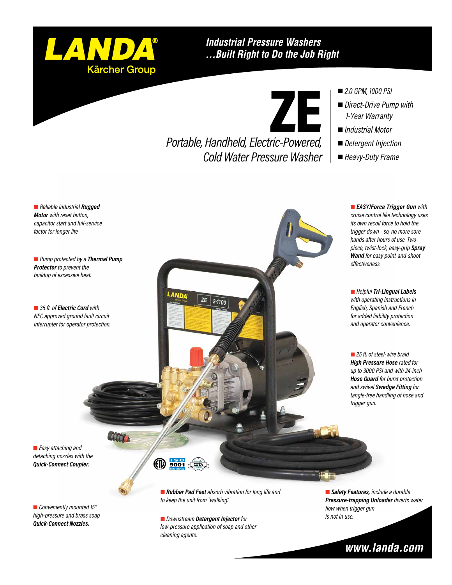

### **Industrial Pressure Washers** ... Built Right to Do the Job Right

ZE

*Portable, Handheld, Electric-Powered, Cold Water Pressure Washer*



- *Direct-Drive Pump with 1-Year Warranty*
- *Industrial Motor*
- *Detergent Injection*
- *Heavy-Duty Frame*

 *Reliable industrial Rugged Motor with reset button, capacitor start and full-service factor for longer life.*

 *Pump protected by a Thermal Pump Protector to prevent the buildup of excessive heat.*

■ 35 ft. of *Electric Cord with NEC approved ground fault circuit interrupter for operator protection.*  *EASY!Force Trigger Gun with cruise control like technology uses its own recoil force to hold the trigger down - so, no more sore hands after hours of use. Twopiece, twist-lock, easy-grip Spray Wand for easy point-and-shoot effectiveness.*

 *Helpful Tri-Lingual Labels with operating instructions in English, Spanish and French for added liability protection and operator convenience.*

 *25 ft. of steel-wire braid High Pressure Hose rated for up to 3000 PSI and with 24-inch Hose Guard for burst protection and swivel Swedge Fitting for tangle-free handling of hose and trigger gun.*

 *Easy attaching and detaching nozzles with the Quick-Connect Coupler.*

**TOOL** 

 *Conveniently mounted 15° high-pressure and brass soap Quick-Connect Nozzles.*

௵ <u>ISO</u><br>9001

> *Rubber Pad Feet absorb vibration for long life and to keep the unit from "walking".*

 $ZE$  2-1100

 *Downstream Detergent Injector for low-pressure application of soap and other cleaning agents.*

 *Safety Features, include a durable Pressure-trapping Unloader diverts water flow when trigger gun is not in use.*

## www.landa.com